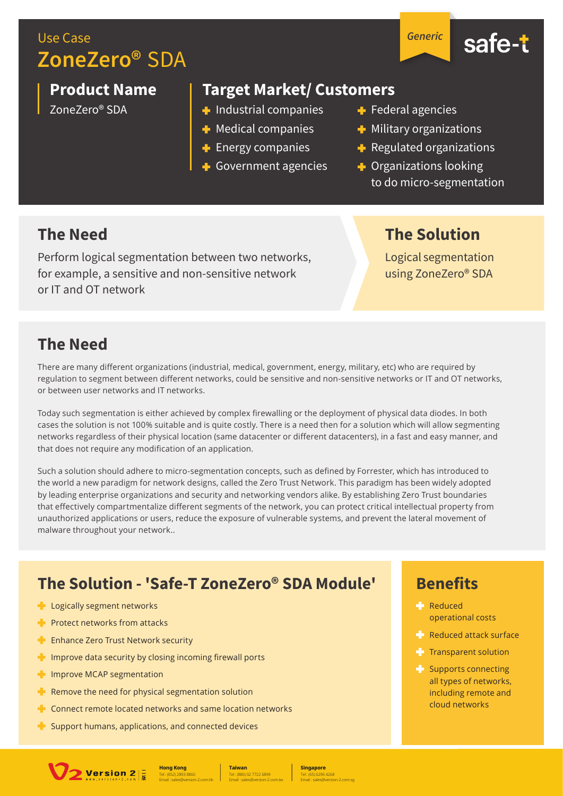Use Case **ZoneZero®** SDA

**Product Name**

ZoneZero® SDA

### **Target Market/ Customers**

- $\blacksquare$  Industrial companies
- $\blacktriangleright$  Medical companies
- $\blacktriangleright$  Energy companies
- Government agencies
- $\blacktriangleright$  Federal agencies
- $\blacksquare$  Military organizations
- $\triangleq$  Regulated organizations

*Generic*

safe-t

**← Organizations looking** to do micro-segmentation

#### **The Need**

Perform logical segmentation between two networks, for example, a sensitive and non-sensitive network or IT and OT network

### **The Solution**

Logical segmentation using ZoneZero® SDA

#### **The Need**

There are many different organizations (industrial, medical, government, energy, military, etc) who are required by regulation to segment between different networks, could be sensitive and non-sensitive networks or IT and OT networks, or between user networks and IT networks.

Today such segmentation is either achieved by complex firewalling or the deployment of physical data diodes. In both cases the solution is not 100% suitable and is quite costly. There is a need then for a solution which will allow segmenting networks regardless of their physical location (same datacenter or different datacenters), in a fast and easy manner, and that does not require any modification of an application.

Such a solution should adhere to micro-segmentation concepts, such as defined by Forrester, which has introduced to the world a new paradigm for network designs, called the Zero Trust Network. This paradigm has been widely adopted by leading enterprise organizations and security and networking vendors alike. By establishing Zero Trust boundaries that effectively compartmentalize different segments of the network, you can protect critical intellectual property from unauthorized applications or users, reduce the exposure of vulnerable systems, and prevent the lateral movement of malware throughout your network..

## **The Solution - 'Safe-T ZoneZero® SDA Module'**

- $\blacksquare$  Logically segment networks
- $\blacksquare$  Protect networks from attacks
- **Enhance Zero Trust Network security**
- **P** Improve data security by closing incoming firewall ports
- **P** Improve MCAP segmentation
- $\blacksquare$  Remove the need for physical segmentation solution
- $\blacktriangleright$  Connect remote located networks and same location networks
- $\blacksquare$  Support humans, applications, and connected devices



- **Reduced** operational costs
- **Reduced attack surface**
- $\blacksquare$  Transparent solution
- $S$ upports connecting all types of networks, including remote and cloud networks

Tel : (886) 02 7722 6899 **Taiwan** Email : sales@version-2.com.tw

Tel : (65) 6296 4268 **Singapore** Email : sales@version-2.com.sg